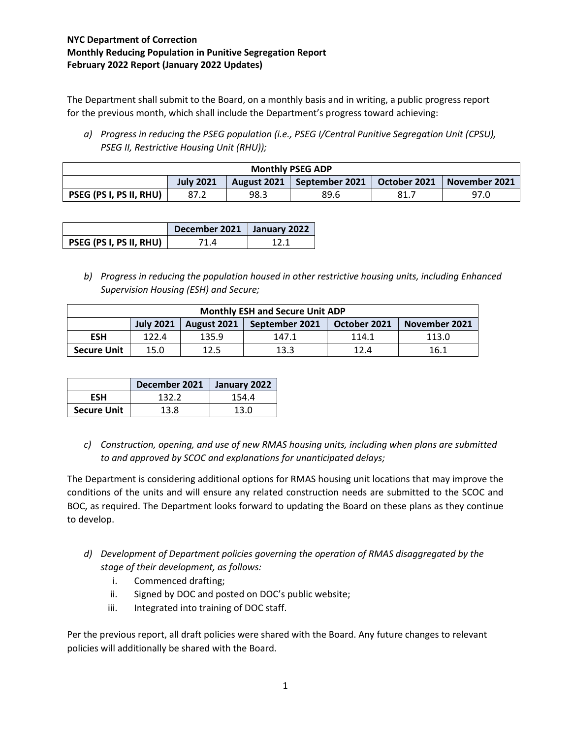## **NYC Department of Correction Monthly Reducing Population in Punitive Segregation Report February 2022 Report (January 2022 Updates)**

The Department shall submit to the Board, on a monthly basis and in writing, a public progress report for the previous month, which shall include the Department's progress toward achieving:

*a) Progress in reducing the PSEG population (i.e., PSEG I/Central Punitive Segregation Unit (CPSU), PSEG II, Restrictive Housing Unit (RHU));*

| <b>Monthly PSEG ADP</b> |                  |      |                              |              |               |  |
|-------------------------|------------------|------|------------------------------|--------------|---------------|--|
|                         | <b>July 2021</b> |      | August 2021   September 2021 | October 2021 | November 2021 |  |
| PSEG (PS I, PS II, RHU) | 87.2             | 98.3 | 89.6                         | 81.7         | 97.0          |  |

|                         | December 2021   January 2022 |     |
|-------------------------|------------------------------|-----|
| PSEG (PS I, PS II, RHU) | 71 A                         | 121 |

*b) Progress in reducing the population housed in other restrictive housing units, including Enhanced Supervision Housing (ESH) and Secure;*

| <b>Monthly ESH and Secure Unit ADP</b> |                  |             |                |              |               |  |
|----------------------------------------|------------------|-------------|----------------|--------------|---------------|--|
|                                        | <b>July 2021</b> | August 2021 | September 2021 | October 2021 | November 2021 |  |
| <b>ESH</b>                             | 122.4            | 135.9       | 147.1          | 114.1        | 113.0         |  |
| <b>Secure Unit</b>                     | 15.0             | 12.5        | 13.3           | 12.4         | 16.1          |  |

|                    | December 2021   January 2022 |       |
|--------------------|------------------------------|-------|
| <b>FSH</b>         | 132.2                        | 154.4 |
| <b>Secure Unit</b> | 13.8                         | 13.0  |

*c) Construction, opening, and use of new RMAS housing units, including when plans are submitted to and approved by SCOC and explanations for unanticipated delays;*

The Department is considering additional options for RMAS housing unit locations that may improve the conditions of the units and will ensure any related construction needs are submitted to the SCOC and BOC, as required. The Department looks forward to updating the Board on these plans as they continue to develop.

- *d) Development of Department policies governing the operation of RMAS disaggregated by the stage of their development, as follows:*
	- i. Commenced drafting;
	- ii. Signed by DOC and posted on DOC's public website;
	- iii. Integrated into training of DOC staff.

Per the previous report, all draft policies were shared with the Board. Any future changes to relevant policies will additionally be shared with the Board.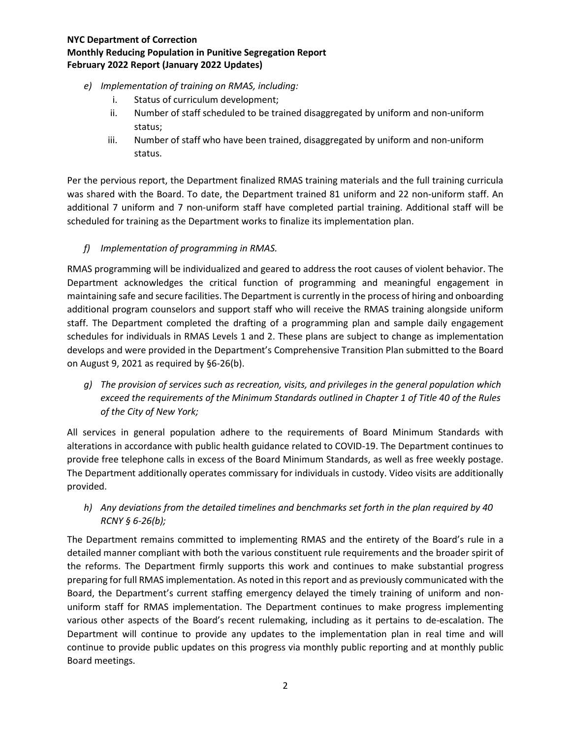## **NYC Department of Correction Monthly Reducing Population in Punitive Segregation Report February 2022 Report (January 2022 Updates)**

- *e) Implementation of training on RMAS, including:*
	- i. Status of curriculum development;
	- ii. Number of staff scheduled to be trained disaggregated by uniform and non-uniform status;
	- iii. Number of staff who have been trained, disaggregated by uniform and non-uniform status.

Per the pervious report, the Department finalized RMAS training materials and the full training curricula was shared with the Board. To date, the Department trained 81 uniform and 22 non-uniform staff. An additional 7 uniform and 7 non-uniform staff have completed partial training. Additional staff will be scheduled for training as the Department works to finalize its implementation plan.

## *f) Implementation of programming in RMAS.*

RMAS programming will be individualized and geared to address the root causes of violent behavior. The Department acknowledges the critical function of programming and meaningful engagement in maintaining safe and secure facilities. The Department is currently in the process of hiring and onboarding additional program counselors and support staff who will receive the RMAS training alongside uniform staff. The Department completed the drafting of a programming plan and sample daily engagement schedules for individuals in RMAS Levels 1 and 2. These plans are subject to change as implementation develops and were provided in the Department's Comprehensive Transition Plan submitted to the Board on August 9, 2021 as required by §6-26(b).

*g) The provision of services such as recreation, visits, and privileges in the general population which exceed the requirements of the Minimum Standards outlined in Chapter 1 of Title 40 of the Rules of the City of New York;*

All services in general population adhere to the requirements of Board Minimum Standards with alterations in accordance with public health guidance related to COVID-19. The Department continues to provide free telephone calls in excess of the Board Minimum Standards, as well as free weekly postage. The Department additionally operates commissary for individuals in custody. Video visits are additionally provided.

*h) Any deviations from the detailed timelines and benchmarks set forth in the plan required by 40 RCNY § 6-26(b);*

The Department remains committed to implementing RMAS and the entirety of the Board's rule in a detailed manner compliant with both the various constituent rule requirements and the broader spirit of the reforms. The Department firmly supports this work and continues to make substantial progress preparing for full RMAS implementation. As noted in this report and as previously communicated with the Board, the Department's current staffing emergency delayed the timely training of uniform and nonuniform staff for RMAS implementation. The Department continues to make progress implementing various other aspects of the Board's recent rulemaking, including as it pertains to de-escalation. The Department will continue to provide any updates to the implementation plan in real time and will continue to provide public updates on this progress via monthly public reporting and at monthly public Board meetings.